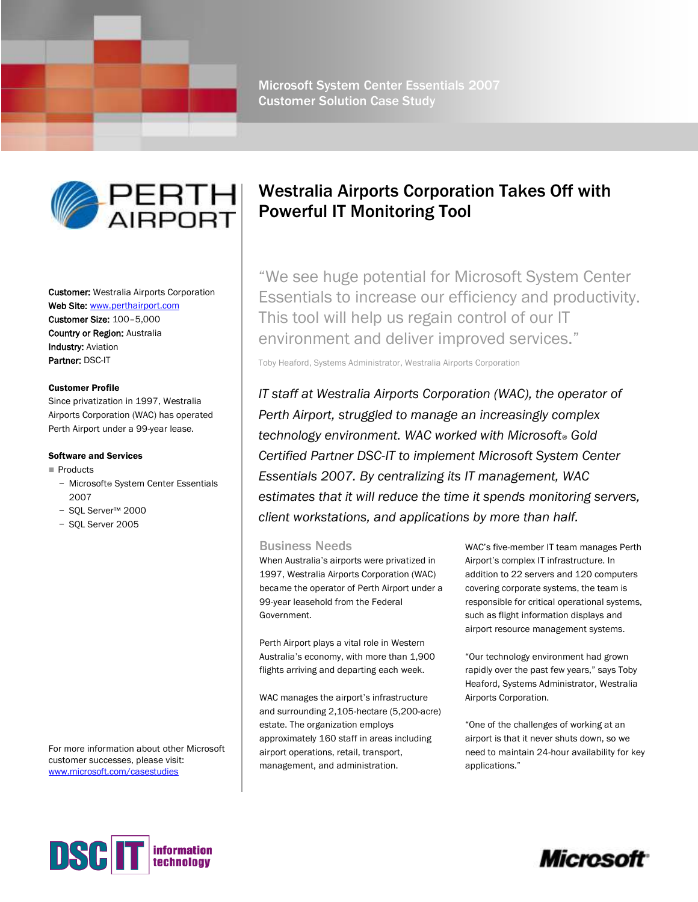

Microsoft System Center Essentials 2007 Customer Solution Case Study



Customer: Westralia Airports Corporation Web Site: [www.perthairport.com](http://www.perthairport.com/) Customer Size: 100–5,000 Country or Region: Australia Industry: Aviation Partner: DSC-IT

### Customer Profile

Since privatization in 1997, Westralia Airports Corporation (WAC) has operated Perth Airport under a 99-year lease.

#### Software and Services

- Products
	- − Microsoft® System Center Essentials 2007
	- − SQL Server™ 2000
	- − SQL Server 2005

For more information about other Microsoft customer successes, please visit: [www.microsoft.com/casestudies](http://www.microsoft.com/casestudies)

# Westralia Airports Corporation Takes Off with Powerful IT Monitoring Tool

"We see huge potential for Microsoft System Center Essentials to increase our efficiency and productivity. This tool will help us regain control of our IT environment and deliver improved services."

Toby Heaford, Systems Administrator, Westralia Airports Corporation

*IT staff at Westralia Airports Corporation (WAC), the operator of Perth Airport, struggled to manage an increasingly complex technology environment. WAC worked with Microsoft® Gold Certified Partner DSC-IT to implement Microsoft System Center Essentials 2007. By centralizing its IT management, WAC estimates that it will reduce the time it spends monitoring servers, client workstations, and applications by more than half.*

# Business Needs

When Australia's airports were privatized in 1997, Westralia Airports Corporation (WAC) became the operator of Perth Airport under a 99-year leasehold from the Federal Government.

Perth Airport plays a vital role in Western Australia's economy, with more than 1,900 flights arriving and departing each week.

WAC manages the airport's infrastructure and surrounding 2,105-hectare (5,200-acre) estate. The organization employs approximately 160 staff in areas including airport operations, retail, transport, management, and administration.

WAC's five-member IT team manages Perth Airport's complex IT infrastructure. In addition to 22 servers and 120 computers covering corporate systems, the team is responsible for critical operational systems, such as flight information displays and airport resource management systems.

―Our technology environment had grown rapidly over the past few years," says Toby Heaford, Systems Administrator, Westralia Airports Corporation.

―One of the challenges of working at an airport is that it never shuts down, so we need to maintain 24-hour availability for key applications."